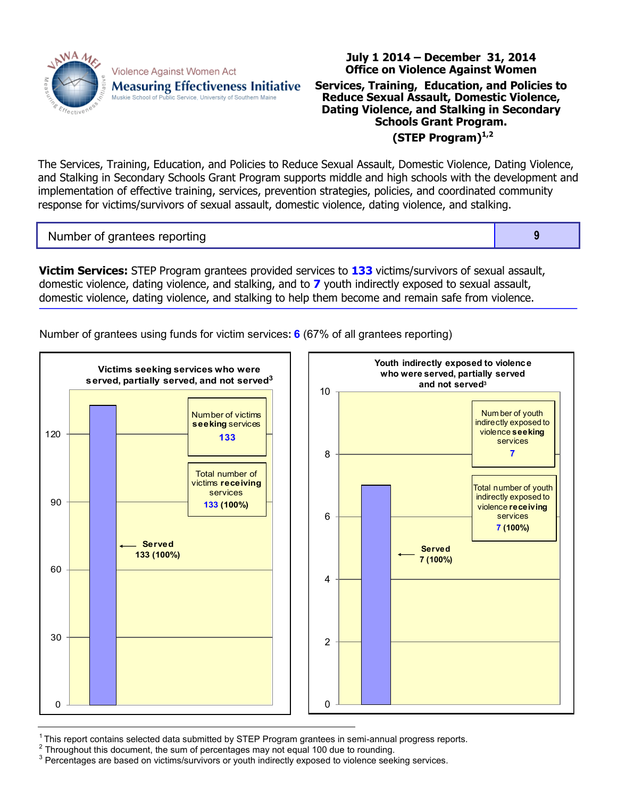

Violence Against Women Act **Measuring Effectiveness Initiative** Muskie School of Public Service, University of Southern Maine

## **Office on Violence Against Women Services, Training, Education, and Policies to Reduce Sexual Assault, Domestic Violence, Dating Violence, and Stalking in Secondary Schools Grant Program. (STEP Program)1,2**

**July 1 2014 – December 31, 2014**

The Services, Training, Education, and Policies to Reduce Sexual Assault, Domestic Violence, Dating Violence, and Stalking in Secondary Schools Grant Program supports middle and high schools with the development and implementation of effective training, services, prevention strategies, policies, and coordinated community response for victims/survivors of sexual assault, domestic violence, dating violence, and stalking.

Number of grantees reporting **9** 

**Victim Services:** STEP Program grantees provided services to **133** victims/survivors of sexual assault, domestic violence, dating violence, and stalking, and to **7** youth indirectly exposed to sexual assault, domestic violence, dating violence, and stalking to help them become and remain safe from violence.

Number of grantees using funds for victim services**: 6** (67% of all grantees reporting)



 $1$ This report contains selected data submitted by STEP Program grantees in semi-annual progress reports.

 $2$  Throughout this document, the sum of percentages may not equal 100 due to rounding.

<sup>3</sup> Percentages are based on victims/survivors or youth indirectly exposed to violence seeking services.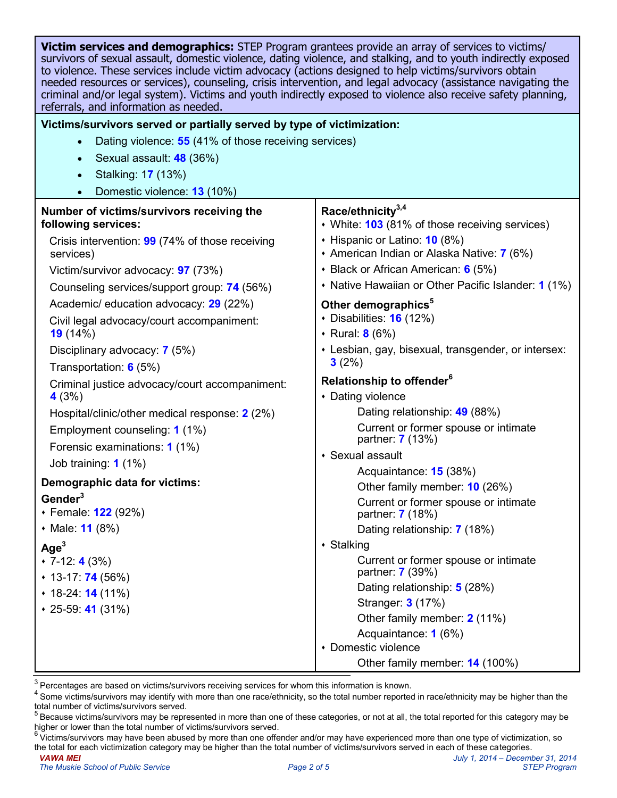| Victim services and demographics: STEP Program grantees provide an array of services to victims/<br>survivors of sexual assault, domestic violence, dating violence, and stalking, and to youth indirectly exposed<br>to violence. These services include victim advocacy (actions designed to help victims/survivors obtain<br>needed resources or services), counseling, crisis intervention, and legal advocacy (assistance navigating the<br>criminal and/or legal system). Victims and youth indirectly exposed to violence also receive safety planning,<br>referrals, and information as needed. |                                                                                                                  |  |  |  |
|---------------------------------------------------------------------------------------------------------------------------------------------------------------------------------------------------------------------------------------------------------------------------------------------------------------------------------------------------------------------------------------------------------------------------------------------------------------------------------------------------------------------------------------------------------------------------------------------------------|------------------------------------------------------------------------------------------------------------------|--|--|--|
| Victims/survivors served or partially served by type of victimization:                                                                                                                                                                                                                                                                                                                                                                                                                                                                                                                                  |                                                                                                                  |  |  |  |
| Dating violence: 55 (41% of those receiving services)<br>$\bullet$                                                                                                                                                                                                                                                                                                                                                                                                                                                                                                                                      |                                                                                                                  |  |  |  |
| Sexual assault: 48 (36%)<br>$\bullet$                                                                                                                                                                                                                                                                                                                                                                                                                                                                                                                                                                   |                                                                                                                  |  |  |  |
| Stalking: 17 (13%)                                                                                                                                                                                                                                                                                                                                                                                                                                                                                                                                                                                      |                                                                                                                  |  |  |  |
| Domestic violence: 13 (10%)                                                                                                                                                                                                                                                                                                                                                                                                                                                                                                                                                                             |                                                                                                                  |  |  |  |
| Number of victims/survivors receiving the<br>following services:<br>Crisis intervention: 99 (74% of those receiving                                                                                                                                                                                                                                                                                                                                                                                                                                                                                     | Race/ethnicity <sup>3,4</sup><br>• White: 103 (81% of those receiving services)<br>• Hispanic or Latino: 10 (8%) |  |  |  |
| services)                                                                                                                                                                                                                                                                                                                                                                                                                                                                                                                                                                                               | + American Indian or Alaska Native: 7 (6%)                                                                       |  |  |  |
| Victim/survivor advocacy: <b>97</b> (73%)                                                                                                                                                                                                                                                                                                                                                                                                                                                                                                                                                               | • Black or African American: 6 (5%)                                                                              |  |  |  |
| Counseling services/support group: 74 (56%)                                                                                                                                                                                                                                                                                                                                                                                                                                                                                                                                                             | • Native Hawaiian or Other Pacific Islander: 1 (1%)                                                              |  |  |  |
| Academic/ education advocacy: 29 (22%)                                                                                                                                                                                                                                                                                                                                                                                                                                                                                                                                                                  | Other demographics <sup>5</sup><br>$\cdot$ Disabilities: 16 (12%)                                                |  |  |  |
| Civil legal advocacy/court accompaniment:<br>19(14%)                                                                                                                                                                                                                                                                                                                                                                                                                                                                                                                                                    | ◆ Rural: 8 (6%)                                                                                                  |  |  |  |
| Disciplinary advocacy: 7 (5%)                                                                                                                                                                                                                                                                                                                                                                                                                                                                                                                                                                           | • Lesbian, gay, bisexual, transgender, or intersex:                                                              |  |  |  |
| Transportation: $6(5%)$                                                                                                                                                                                                                                                                                                                                                                                                                                                                                                                                                                                 | 3(2%)                                                                                                            |  |  |  |
| Criminal justice advocacy/court accompaniment:                                                                                                                                                                                                                                                                                                                                                                                                                                                                                                                                                          | Relationship to offender <sup>6</sup>                                                                            |  |  |  |
| 4(3%)                                                                                                                                                                                                                                                                                                                                                                                                                                                                                                                                                                                                   | • Dating violence                                                                                                |  |  |  |
| Hospital/clinic/other medical response: 2 (2%)                                                                                                                                                                                                                                                                                                                                                                                                                                                                                                                                                          | Dating relationship: 49 (88%)                                                                                    |  |  |  |
| Employment counseling: 1 (1%)                                                                                                                                                                                                                                                                                                                                                                                                                                                                                                                                                                           | Current or former spouse or intimate<br>partner: <b>7</b> (13%)                                                  |  |  |  |
| Forensic examinations: 1 (1%)                                                                                                                                                                                                                                                                                                                                                                                                                                                                                                                                                                           | • Sexual assault                                                                                                 |  |  |  |
| Job training: $1(1\%)$                                                                                                                                                                                                                                                                                                                                                                                                                                                                                                                                                                                  | Acquaintance: 15 (38%)                                                                                           |  |  |  |
| Demographic data for victims:                                                                                                                                                                                                                                                                                                                                                                                                                                                                                                                                                                           | Other family member: 10 (26%)                                                                                    |  |  |  |
| Gender <sup>3</sup><br>• Female: 122 (92%)                                                                                                                                                                                                                                                                                                                                                                                                                                                                                                                                                              | Current or former spouse or intimate<br>partner: <b>7</b> (18%)                                                  |  |  |  |
| • Male: <b>11</b> (8%)                                                                                                                                                                                                                                                                                                                                                                                                                                                                                                                                                                                  | Dating relationship: 7 (18%)                                                                                     |  |  |  |
| Age <sup>3</sup>                                                                                                                                                                                                                                                                                                                                                                                                                                                                                                                                                                                        | • Stalking                                                                                                       |  |  |  |
| $\cdot$ 7-12: 4 (3%)                                                                                                                                                                                                                                                                                                                                                                                                                                                                                                                                                                                    | Current or former spouse or intimate<br>partner: <b>7</b> (39%)                                                  |  |  |  |
| $*$ 13-17: <b>74</b> (56%)                                                                                                                                                                                                                                                                                                                                                                                                                                                                                                                                                                              | Dating relationship: 5 (28%)                                                                                     |  |  |  |
| $* 18-24: 14(11\%)$<br>$* 25 - 59$ : 41 (31%)                                                                                                                                                                                                                                                                                                                                                                                                                                                                                                                                                           | Stranger: 3 (17%)                                                                                                |  |  |  |
|                                                                                                                                                                                                                                                                                                                                                                                                                                                                                                                                                                                                         | Other family member: 2 (11%)                                                                                     |  |  |  |
|                                                                                                                                                                                                                                                                                                                                                                                                                                                                                                                                                                                                         | Acquaintance: 1 (6%)                                                                                             |  |  |  |
|                                                                                                                                                                                                                                                                                                                                                                                                                                                                                                                                                                                                         | • Domestic violence                                                                                              |  |  |  |
|                                                                                                                                                                                                                                                                                                                                                                                                                                                                                                                                                                                                         | Other family member: 14 (100%)                                                                                   |  |  |  |

 $3$  Percentages are based on victims/survivors receiving services for whom this information is known.

<sup>4</sup> Some victims/survivors may identify with more than one race/ethnicity, so the total number reported in race/ethnicity may be higher than the total number of victims/survivors served.

<sup>&</sup>lt;sup>5</sup> Because victims/survivors may be represented in more than one of these categories, or not at all, the total reported for this category may be higher or lower than the total number of victims/survivors served.

*VAWA MEI July 1, 2014 – December 31, 2014* 6Victims/survivors may have been abused by more than one offender and/or may have experienced more than one type of victimization, so the total for each victimization category may be higher than the total number of victims/survivors served in each of these categories.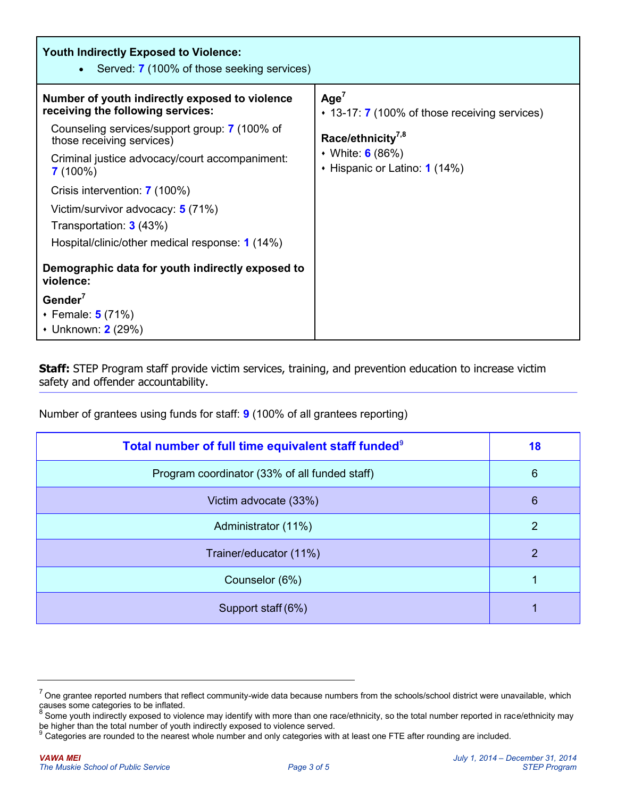| <b>Youth Indirectly Exposed to Violence:</b><br>Served: <b>7</b> (100% of those seeking services)<br>$\bullet$                                                                                                                                                                                                                                                                        |                                                                                                                                                               |
|---------------------------------------------------------------------------------------------------------------------------------------------------------------------------------------------------------------------------------------------------------------------------------------------------------------------------------------------------------------------------------------|---------------------------------------------------------------------------------------------------------------------------------------------------------------|
| Number of youth indirectly exposed to violence<br>receiving the following services:<br>Counseling services/support group: 7 (100% of<br>those receiving services)<br>Criminal justice advocacy/court accompaniment:<br>$7(100\%)$<br>Crisis intervention: 7 (100%)<br>Victim/survivor advocacy: 5 (71%)<br>Transportation: 3 (43%)<br>Hospital/clinic/other medical response: 1 (14%) | Age <sup>7</sup><br>$\cdot$ 13-17: 7 (100% of those receiving services)<br>Race/ethnicity <sup>7,8</sup><br>• White: 6 (86%)<br>• Hispanic or Latino: 1 (14%) |
| Demographic data for youth indirectly exposed to<br>violence:<br>Gender $7$<br>• Female: <b>5</b> (71%)<br>• Unknown: 2 (29%)                                                                                                                                                                                                                                                         |                                                                                                                                                               |

**Staff:** STEP Program staff provide victim services, training, and prevention education to increase victim safety and offender accountability.

Number of grantees using funds for staff: **9** (100% of all grantees reporting)

| Total number of full time equivalent staff funded <sup>9</sup> | 18              |
|----------------------------------------------------------------|-----------------|
| Program coordinator (33% of all funded staff)                  | $6\phantom{1}6$ |
| Victim advocate (33%)                                          | $6\phantom{1}6$ |
| Administrator (11%)                                            | 2               |
| Trainer/educator (11%)                                         | $\overline{2}$  |
| Counselor (6%)                                                 |                 |
| Support staff (6%)                                             |                 |

 $7$  One grantee reported numbers that reflect community-wide data because numbers from the schools/school district were unavailable, which causes some categories to be inflated.

<sup>&</sup>lt;sup>8</sup> Some youth indirectly exposed to violence may identify with more than one race/ethnicity, so the total number reported in race/ethnicity may be higher than the total number of youth indirectly exposed to violence served.

<sup>&</sup>lt;sup>9</sup> Categories are rounded to the nearest whole number and only categories with at least one FTE after rounding are included.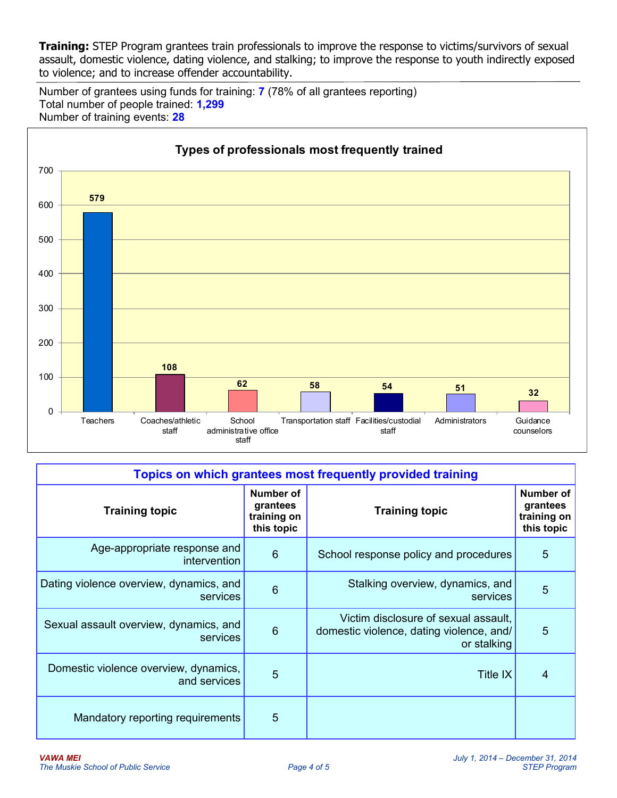**Training:** STEP Program grantees train professionals to improve the response to victims/survivors of sexual assault, domestic violence, dating violence, and stalking; to improve the response to youth indirectly exposed to violence; and to increase offender accountability.

Number of grantees using funds for training: **7** (78% of all grantees reporting) Total number of people trained: **1,299** Number of training events: **28**



| Topics on which grantees most frequently provided training |                                                    |                                                                                                 |                                                           |  |
|------------------------------------------------------------|----------------------------------------------------|-------------------------------------------------------------------------------------------------|-----------------------------------------------------------|--|
| <b>Training topic</b>                                      | Number of<br>grantees<br>training on<br>this topic | <b>Training topic</b>                                                                           | <b>Number of</b><br>grantees<br>training on<br>this topic |  |
| Age-appropriate response and<br>intervention               | $6\phantom{1}6$                                    | School response policy and procedures                                                           | 5                                                         |  |
| Dating violence overview, dynamics, and<br>services        | $6\phantom{1}6$                                    | Stalking overview, dynamics, and<br>services                                                    | 5                                                         |  |
| Sexual assault overview, dynamics, and<br>services         | $6\phantom{1}6$                                    | Victim disclosure of sexual assault,<br>domestic violence, dating violence, and/<br>or stalking | 5                                                         |  |
| Domestic violence overview, dynamics,<br>and services      | 5                                                  | Title IX                                                                                        | 4                                                         |  |
| Mandatory reporting requirements                           | 5                                                  |                                                                                                 |                                                           |  |